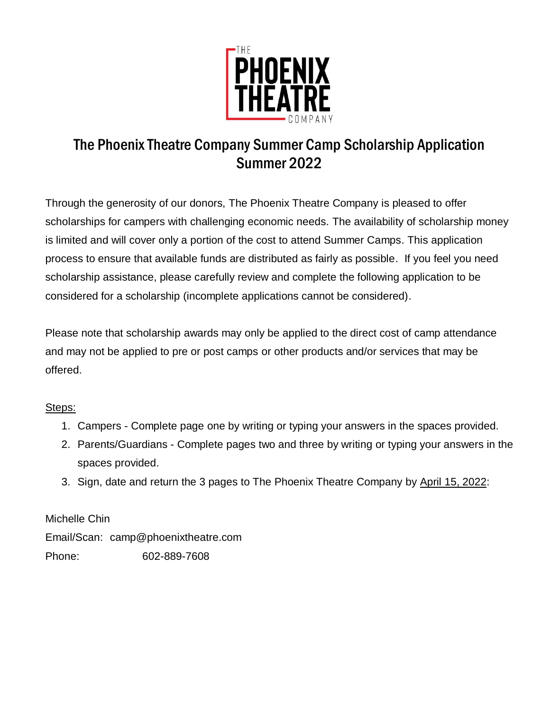

## The Phoenix Theatre Company Summer Camp Scholarship Application Summer 2022

Through the generosity of our donors, The Phoenix Theatre Company is pleased to offer scholarships for campers with challenging economic needs. The availability of scholarship money is limited and will cover only a portion of the cost to attend Summer Camps. This application process to ensure that available funds are distributed as fairly as possible. If you feel you need scholarship assistance, please carefully review and complete the following application to be considered for a scholarship (incomplete applications cannot be considered).

Please note that scholarship awards may only be applied to the direct cost of camp attendance and may not be applied to pre or post camps or other products and/or services that may be offered.

## Steps:

- 1. Campers Complete page one by writing or typing your answers in the spaces provided.
- 2. Parents/Guardians Complete pages two and three by writing or typing your answers in the spaces provided.
- 3. Sign, date and return the 3 pages to The Phoenix Theatre Company by April 15, 2022:

Michelle Chin Email/Scan: camp@phoenixtheatre.com Phone: 602-889-7608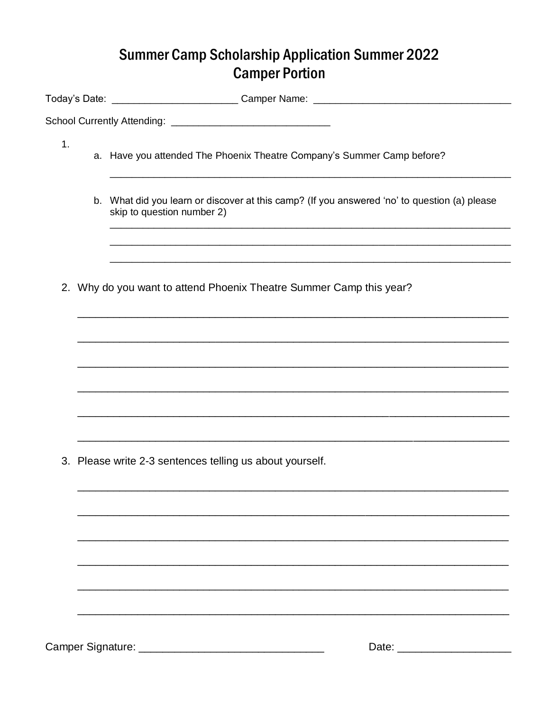## **Summer Camp Scholarship Application Summer 2022 Camper Portion**

|    | Today's Date: ___________________________Camper Name: __________________________                                           |  |
|----|----------------------------------------------------------------------------------------------------------------------------|--|
|    |                                                                                                                            |  |
| 1. | a. Have you attended The Phoenix Theatre Company's Summer Camp before?                                                     |  |
|    | b. What did you learn or discover at this camp? (If you answered 'no' to question (a) please<br>skip to question number 2) |  |
|    |                                                                                                                            |  |
|    | 2. Why do you want to attend Phoenix Theatre Summer Camp this year?                                                        |  |
|    |                                                                                                                            |  |
|    |                                                                                                                            |  |
|    |                                                                                                                            |  |
|    |                                                                                                                            |  |
|    | 3. Please write 2-3 sentences telling us about yourself.                                                                   |  |
|    |                                                                                                                            |  |
|    |                                                                                                                            |  |
|    |                                                                                                                            |  |
|    |                                                                                                                            |  |
|    |                                                                                                                            |  |
|    |                                                                                                                            |  |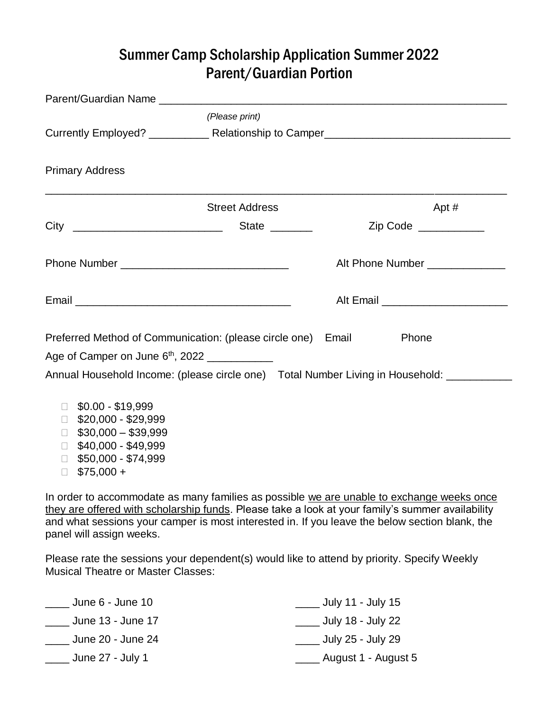## Summer Camp Scholarship Application Summer 2022 Parent/Guardian Portion

|                                                                                                                                                                       | (Please print)        |                                                                                         |
|-----------------------------------------------------------------------------------------------------------------------------------------------------------------------|-----------------------|-----------------------------------------------------------------------------------------|
|                                                                                                                                                                       |                       |                                                                                         |
| <b>Primary Address</b>                                                                                                                                                |                       |                                                                                         |
|                                                                                                                                                                       | <b>Street Address</b> | Apt #                                                                                   |
|                                                                                                                                                                       |                       | Zip Code __________                                                                     |
|                                                                                                                                                                       |                       | Alt Phone Number                                                                        |
|                                                                                                                                                                       |                       | Alt Email ____________________________                                                  |
| Preferred Method of Communication: (please circle one) Email<br>Age of Camper on June $6th$ , 2022                                                                    |                       | Phone                                                                                   |
|                                                                                                                                                                       |                       | Annual Household Income: (please circle one) Total Number Living in Household: ________ |
| $$0.00 - $19,999$<br>\$20,000 - \$29,999<br>П.<br>$$30,000 - $39,999$<br>П<br>\$40,000 - \$49,999<br>$\Box$<br>\$50,000 - \$74,999<br>$\Box$<br>$$75,000 +$<br>$\Box$ |                       |                                                                                         |

In order to accommodate as many families as possible we are unable to exchange weeks once they are offered with scholarship funds. Please take a look at your family's summer availability and what sessions your camper is most interested in. If you leave the below section blank, the panel will assign weeks.

Please rate the sessions your dependent(s) would like to attend by priority. Specify Weekly Musical Theatre or Master Classes:

| June 6 - June 10  | July 11 - July 15   |
|-------------------|---------------------|
| June 13 - June 17 | July 18 - July 22   |
| June 20 - June 24 | July 25 - July 29   |
| June 27 - July 1  | August 1 - August 5 |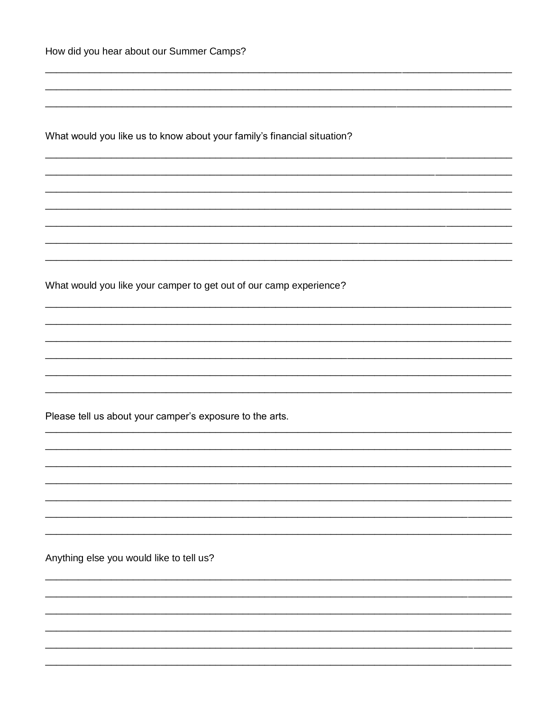What would you like us to know about your family's financial situation?

What would you like your camper to get out of our camp experience?

Please tell us about your camper's exposure to the arts.

Anything else you would like to tell us?